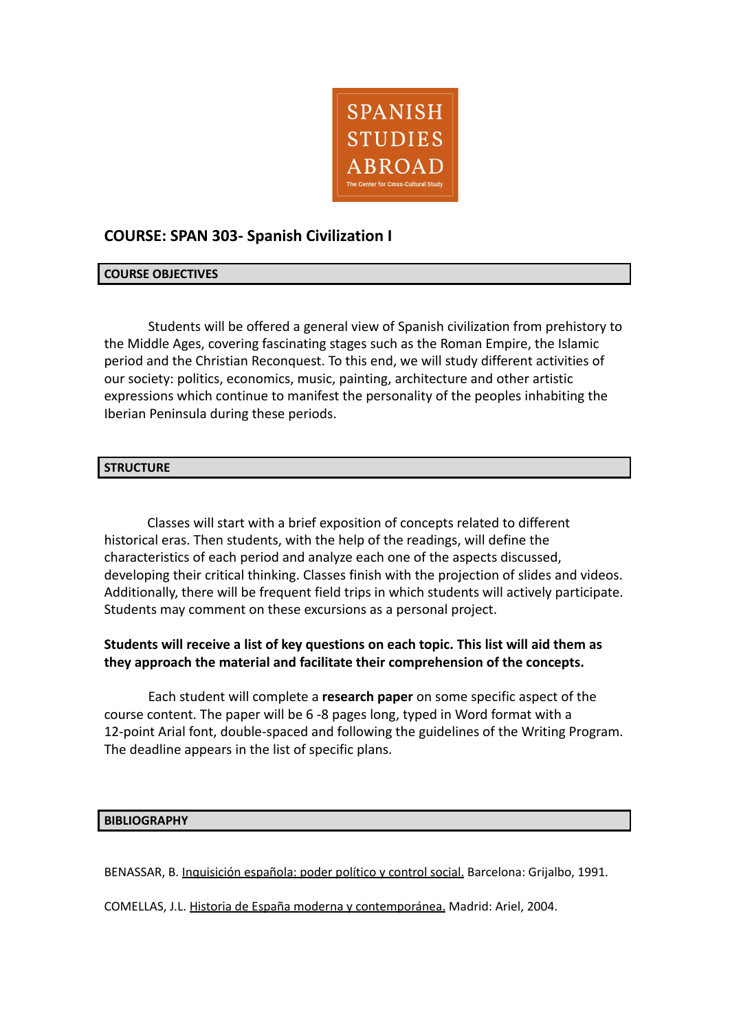

# **COURSE: SPAN 303- Spanish Civilization I**

### **COURSE OBJECTIVES**

Students will be offered a general view of Spanish civilization from prehistory to the Middle Ages, covering fascinating stages such as the Roman Empire, the Islamic period and the Christian Reconquest. To this end, we will study different activities of our society: politics, economics, music, painting, architecture and other artistic expressions which continue to manifest the personality of the peoples inhabiting the Iberian Peninsula during these periods.

#### **STRUCTURE**

Classes will start with a brief exposition of concepts related to different historical eras. Then students, with the help of the readings, will define the characteristics of each period and analyze each one of the aspects discussed, developing their critical thinking. Classes finish with the projection of slides and videos. Additionally, there will be frequent field trips in which students will actively participate. Students may comment on these excursions as a personal project.

## **Students will receive a list of key questions on each topic. This list will aid them as they approach the material and facilitate their comprehension of the concepts.**

Each student will complete a **research paper** on some specific aspect of the course content. The paper will be 6 -8 pages long, typed in Word format with a 12-point Arial font, double-spaced and following the guidelines of the Writing Program. The deadline appears in the list of specific plans.

#### **BIBLIOGRAPHY**

BENASSAR, B. Inquisición española: poder político y control social. Barcelona: Grijalbo, 1991.

COMELLAS, J.L. Historia de España moderna y contemporánea. Madrid: Ariel, 2004.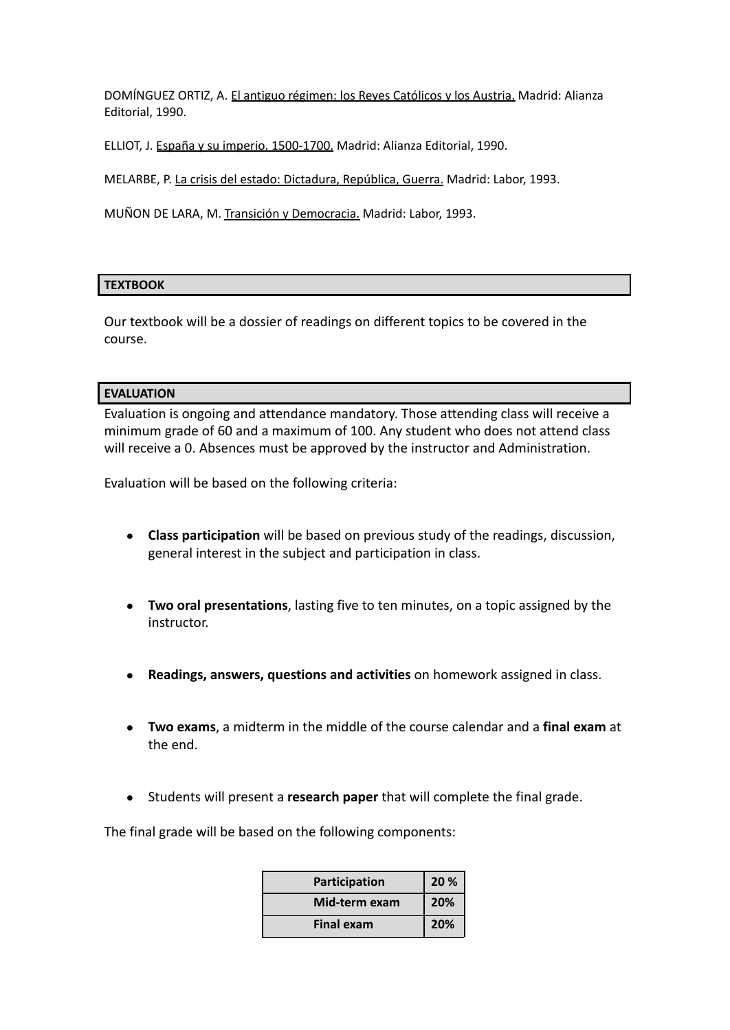DOMÍNGUEZ ORTIZ, A. El antiguo régimen: los Reyes Católicos y los Austria. Madrid: Alianza Editorial, 1990.

ELLIOT, J. España y su imperio. 1500-1700. Madrid: Alianza Editorial, 1990.

MELARBE, P. La crisis del estado: Dictadura, República, Guerra. Madrid: Labor, 1993.

MUÑON DE LARA, M. Transición y Democracia. Madrid: Labor, 1993.

#### **TEXTBOOK**

Our textbook will be a dossier of readings on different topics to be covered in the course.

#### **EVALUATION**

Evaluation is ongoing and attendance mandatory. Those attending class will receive a minimum grade of 60 and a maximum of 100. Any student who does not attend class will receive a 0. Absences must be approved by the instructor and Administration.

Evaluation will be based on the following criteria:

- **Class participation** will be based on previous study of the readings, discussion, general interest in the subject and participation in class.
- **Two oral presentations**, lasting five to ten minutes, on a topic assigned by the instructor.
- **Readings, answers, questions and activities** on homework assigned in class.
- **Two exams**, a midterm in the middle of the course calendar and a **final exam** at the end.
- Students will present a **research paper** that will complete the final grade.

The final grade will be based on the following components:

| Participation     | 20% |
|-------------------|-----|
| Mid-term exam     | 20% |
| <b>Final exam</b> | 20% |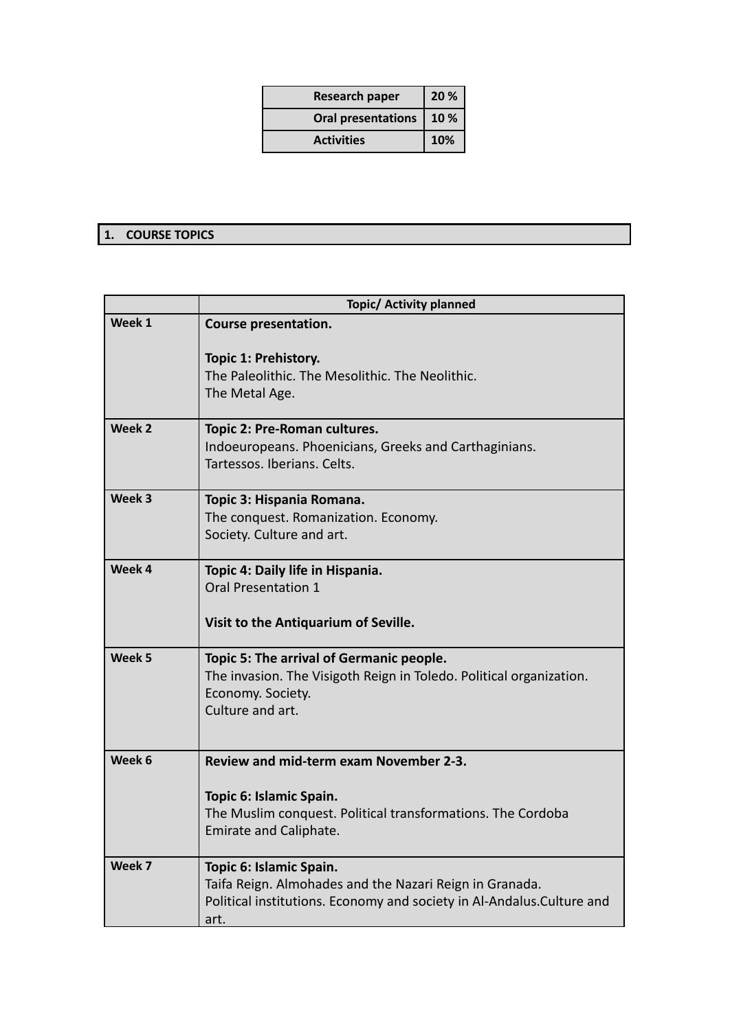| <b>Research paper</b>     | 20 % |
|---------------------------|------|
| <b>Oral presentations</b> | 10%  |
| <b>Activities</b>         | 10%  |

## **1. COURSE TOPICS**

|                   | <b>Topic/ Activity planned</b>                                                                                                                                       |
|-------------------|----------------------------------------------------------------------------------------------------------------------------------------------------------------------|
| Week 1            | Course presentation.                                                                                                                                                 |
|                   | Topic 1: Prehistory.<br>The Paleolithic. The Mesolithic. The Neolithic.<br>The Metal Age.                                                                            |
| Week 2            | Topic 2: Pre-Roman cultures.<br>Indoeuropeans. Phoenicians, Greeks and Carthaginians.<br>Tartessos, Iberians, Celts.                                                 |
| Week 3            | Topic 3: Hispania Romana.<br>The conquest. Romanization. Economy.<br>Society. Culture and art.                                                                       |
| Week 4            | Topic 4: Daily life in Hispania.<br>Oral Presentation 1<br>Visit to the Antiquarium of Seville.                                                                      |
| Week <sub>5</sub> | Topic 5: The arrival of Germanic people.<br>The invasion. The Visigoth Reign in Toledo. Political organization.<br>Economy. Society.<br>Culture and art.             |
| Week 6            | Review and mid-term exam November 2-3.<br>Topic 6: Islamic Spain.<br>The Muslim conquest. Political transformations. The Cordoba<br>Emirate and Caliphate.           |
| Week 7            | Topic 6: Islamic Spain.<br>Taifa Reign. Almohades and the Nazari Reign in Granada.<br>Political institutions. Economy and society in Al-Andalus. Culture and<br>art. |